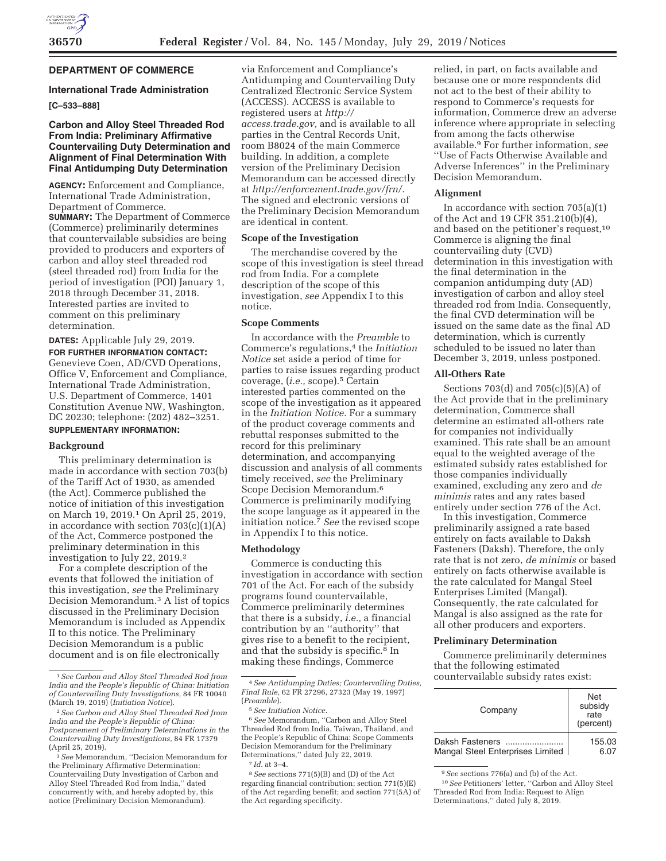

# **DEPARTMENT OF COMMERCE**

#### **International Trade Administration**

# **[C–533–888]**

# **Carbon and Alloy Steel Threaded Rod From India: Preliminary Affirmative Countervailing Duty Determination and Alignment of Final Determination With Final Antidumping Duty Determination**

**AGENCY:** Enforcement and Compliance, International Trade Administration, Department of Commerce. **SUMMARY:** The Department of Commerce (Commerce) preliminarily determines that countervailable subsidies are being provided to producers and exporters of carbon and alloy steel threaded rod (steel threaded rod) from India for the period of investigation (POI) January 1, 2018 through December 31, 2018. Interested parties are invited to comment on this preliminary determination.

**DATES:** Applicable July 29, 2019. **FOR FURTHER INFORMATION CONTACT:**  Genevieve Coen, AD/CVD Operations, Office V, Enforcement and Compliance, International Trade Administration, U.S. Department of Commerce, 1401 Constitution Avenue NW, Washington, DC 20230; telephone: (202) 482–3251. **SUPPLEMENTARY INFORMATION:** 

## **Background**

This preliminary determination is made in accordance with section 703(b) of the Tariff Act of 1930, as amended (the Act). Commerce published the notice of initiation of this investigation on March 19, 2019.1 On April 25, 2019, in accordance with section  $703(c)(1)(A)$ of the Act, Commerce postponed the preliminary determination in this investigation to July 22, 2019.2

For a complete description of the events that followed the initiation of this investigation, *see* the Preliminary Decision Memorandum.3 A list of topics discussed in the Preliminary Decision Memorandum is included as Appendix II to this notice. The Preliminary Decision Memorandum is a public document and is on file electronically

via Enforcement and Compliance's Antidumping and Countervailing Duty Centralized Electronic Service System (ACCESS). ACCESS is available to registered users at *http:// access.trade.gov,* and is available to all parties in the Central Records Unit, room B8024 of the main Commerce building. In addition, a complete version of the Preliminary Decision Memorandum can be accessed directly at *http://enforcement.trade.gov/frn/.*  The signed and electronic versions of the Preliminary Decision Memorandum are identical in content.

## **Scope of the Investigation**

The merchandise covered by the scope of this investigation is steel thread rod from India. For a complete description of the scope of this investigation, *see* Appendix I to this notice.

#### **Scope Comments**

In accordance with the *Preamble* to Commerce's regulations,4 the *Initiation Notice* set aside a period of time for parties to raise issues regarding product coverage, (*i.e.,* scope).5 Certain interested parties commented on the scope of the investigation as it appeared in the *Initiation Notice.* For a summary of the product coverage comments and rebuttal responses submitted to the record for this preliminary determination, and accompanying discussion and analysis of all comments timely received, *see* the Preliminary Scope Decision Memorandum.6 Commerce is preliminarily modifying the scope language as it appeared in the initiation notice.7 *See* the revised scope in Appendix I to this notice.

#### **Methodology**

Commerce is conducting this investigation in accordance with section 701 of the Act. For each of the subsidy programs found countervailable, Commerce preliminarily determines that there is a subsidy, *i.e.,* a financial contribution by an ''authority'' that gives rise to a benefit to the recipient, and that the subsidy is specific.8 In making these findings, Commerce

6*See* Memorandum, ''Carbon and Alloy Steel Threaded Rod from India, Taiwan, Thailand, and the People's Republic of China: Scope Comments Decision Memorandum for the Preliminary Determinations,'' dated July 22, 2019. 7 *Id.* at 3–4.

8*See* sections 771(5)(B) and (D) of the Act regarding financial contribution; section 771(5)(E) of the Act regarding benefit; and section 771(5A) of the Act regarding specificity.

relied, in part, on facts available and because one or more respondents did not act to the best of their ability to respond to Commerce's requests for information, Commerce drew an adverse inference where appropriate in selecting from among the facts otherwise available.9 For further information, *see*  ''Use of Facts Otherwise Available and Adverse Inferences'' in the Preliminary Decision Memorandum.

#### **Alignment**

In accordance with section  $705(a)(1)$ of the Act and 19 CFR 351.210(b)(4), and based on the petitioner's request,10 Commerce is aligning the final countervailing duty (CVD) determination in this investigation with the final determination in the companion antidumping duty (AD) investigation of carbon and alloy steel threaded rod from India. Consequently, the final CVD determination will be issued on the same date as the final AD determination, which is currently scheduled to be issued no later than December 3, 2019, unless postponed.

## **All-Others Rate**

Sections 703(d) and 705(c)(5)(A) of the Act provide that in the preliminary determination, Commerce shall determine an estimated all-others rate for companies not individually examined. This rate shall be an amount equal to the weighted average of the estimated subsidy rates established for those companies individually examined, excluding any zero and *de minimis* rates and any rates based entirely under section 776 of the Act.

In this investigation, Commerce preliminarily assigned a rate based entirely on facts available to Daksh Fasteners (Daksh). Therefore, the only rate that is not zero, *de minimis* or based entirely on facts otherwise available is the rate calculated for Mangal Steel Enterprises Limited (Mangal). Consequently, the rate calculated for Mangal is also assigned as the rate for all other producers and exporters.

#### **Preliminary Determination**

Commerce preliminarily determines that the following estimated countervailable subsidy rates exist:

| Company                          | <b>Net</b><br>subsidy<br>rate<br>(percent) |
|----------------------------------|--------------------------------------------|
| Daksh Fasteners                  | 155.03                                     |
| Mangal Steel Enterprises Limited | 6.07                                       |

<sup>9</sup>*See* sections 776(a) and (b) of the Act.

<sup>1</sup>*See Carbon and Alloy Steel Threaded Rod from India and the People's Republic of China: Initiation of Countervailing Duty Investigations,* 84 FR 10040 (March 19, 2019) (*Initiation Notice*).

<sup>2</sup>*See Carbon and Alloy Steel Threaded Rod from India and the People's Republic of China: Postponement of Preliminary Determinations in the Countervailing Duty Investigations,* 84 FR 17379 (April 25, 2019).

<sup>3</sup>*See* Memorandum, ''Decision Memorandum for the Preliminary Affirmative Determination: Countervailing Duty Investigation of Carbon and Alloy Steel Threaded Rod from India,'' dated concurrently with, and hereby adopted by, this notice (Preliminary Decision Memorandum).

<sup>4</sup>*See Antidumping Duties; Countervailing Duties, Final Rule,* 62 FR 27296, 27323 (May 19, 1997) (*Preamble*).

<sup>5</sup>*See Initiation Notice.* 

<sup>10</sup>*See* Petitioners' letter, ''Carbon and Alloy Steel Threaded Rod from India: Request to Align Determinations,'' dated July 8, 2019.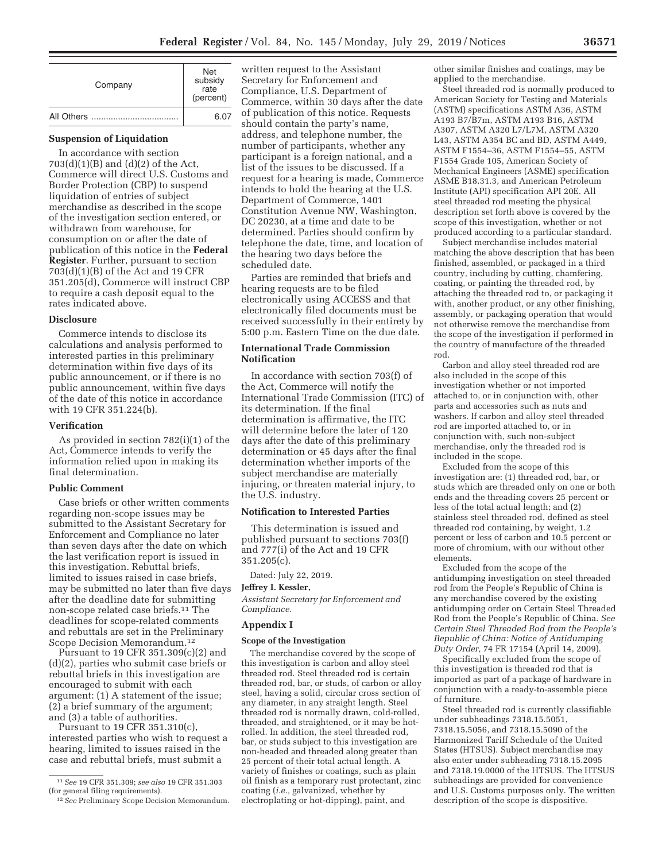| Company | <b>Net</b><br>subsidy<br>rate<br>(percent) |
|---------|--------------------------------------------|
|         | 6.07                                       |

# **Suspension of Liquidation**

In accordance with section 703(d)(1)(B) and (d)(2) of the Act, Commerce will direct U.S. Customs and Border Protection (CBP) to suspend liquidation of entries of subject merchandise as described in the scope of the investigation section entered, or withdrawn from warehouse, for consumption on or after the date of publication of this notice in the **Federal Register**. Further, pursuant to section 703(d)(1)(B) of the Act and 19 CFR 351.205(d), Commerce will instruct CBP to require a cash deposit equal to the rates indicated above.

#### **Disclosure**

Commerce intends to disclose its calculations and analysis performed to interested parties in this preliminary determination within five days of its public announcement, or if there is no public announcement, within five days of the date of this notice in accordance with 19 CFR 351.224(b).

#### **Verification**

As provided in section 782(i)(1) of the Act, Commerce intends to verify the information relied upon in making its final determination.

## **Public Comment**

Case briefs or other written comments regarding non-scope issues may be submitted to the Assistant Secretary for Enforcement and Compliance no later than seven days after the date on which the last verification report is issued in this investigation. Rebuttal briefs, limited to issues raised in case briefs, may be submitted no later than five days after the deadline date for submitting non-scope related case briefs.11 The deadlines for scope-related comments and rebuttals are set in the Preliminary Scope Decision Memorandum.12

Pursuant to 19 CFR 351.309(c)(2) and (d)(2), parties who submit case briefs or rebuttal briefs in this investigation are encouraged to submit with each argument: (1) A statement of the issue; (2) a brief summary of the argument; and (3) a table of authorities.

Pursuant to 19 CFR 351.310(c), interested parties who wish to request a hearing, limited to issues raised in the case and rebuttal briefs, must submit a

written request to the Assistant Secretary for Enforcement and Compliance, U.S. Department of Commerce, within 30 days after the date of publication of this notice. Requests should contain the party's name, address, and telephone number, the number of participants, whether any participant is a foreign national, and a list of the issues to be discussed. If a request for a hearing is made, Commerce intends to hold the hearing at the U.S. Department of Commerce, 1401 Constitution Avenue NW, Washington, DC 20230, at a time and date to be determined. Parties should confirm by telephone the date, time, and location of the hearing two days before the scheduled date.

Parties are reminded that briefs and hearing requests are to be filed electronically using ACCESS and that electronically filed documents must be received successfully in their entirety by 5:00 p.m. Eastern Time on the due date.

## **International Trade Commission Notification**

In accordance with section 703(f) of the Act, Commerce will notify the International Trade Commission (ITC) of its determination. If the final determination is affirmative, the ITC will determine before the later of 120 days after the date of this preliminary determination or 45 days after the final determination whether imports of the subject merchandise are materially injuring, or threaten material injury, to the U.S. industry.

## **Notification to Interested Parties**

This determination is issued and published pursuant to sections 703(f) and 777(i) of the Act and 19 CFR 351.205(c).

Dated: July 22, 2019.

## **Jeffrey I. Kessler,**

*Assistant Secretary for Enforcement and Compliance.* 

# **Appendix I**

## **Scope of the Investigation**

The merchandise covered by the scope of this investigation is carbon and alloy steel threaded rod. Steel threaded rod is certain threaded rod, bar, or studs, of carbon or alloy steel, having a solid, circular cross section of any diameter, in any straight length. Steel threaded rod is normally drawn, cold-rolled, threaded, and straightened, or it may be hotrolled. In addition, the steel threaded rod, bar, or studs subject to this investigation are non-headed and threaded along greater than 25 percent of their total actual length. A variety of finishes or coatings, such as plain oil finish as a temporary rust protectant, zinc coating (*i.e.,* galvanized, whether by electroplating or hot-dipping), paint, and

other similar finishes and coatings, may be applied to the merchandise.

Steel threaded rod is normally produced to American Society for Testing and Materials (ASTM) specifications ASTM A36, ASTM A193 B7/B7m, ASTM A193 B16, ASTM A307, ASTM A320 L7/L7M, ASTM A320 L43, ASTM A354 BC and BD, ASTM A449, ASTM F1554–36, ASTM F1554–55, ASTM F1554 Grade 105, American Society of Mechanical Engineers (ASME) specification ASME B18.31.3, and American Petroleum Institute (API) specification API 20E. All steel threaded rod meeting the physical description set forth above is covered by the scope of this investigation, whether or not produced according to a particular standard.

Subject merchandise includes material matching the above description that has been finished, assembled, or packaged in a third country, including by cutting, chamfering, coating, or painting the threaded rod, by attaching the threaded rod to, or packaging it with, another product, or any other finishing, assembly, or packaging operation that would not otherwise remove the merchandise from the scope of the investigation if performed in the country of manufacture of the threaded rod.

Carbon and alloy steel threaded rod are also included in the scope of this investigation whether or not imported attached to, or in conjunction with, other parts and accessories such as nuts and washers. If carbon and alloy steel threaded rod are imported attached to, or in conjunction with, such non-subject merchandise, only the threaded rod is included in the scope.

Excluded from the scope of this investigation are: (1) threaded rod, bar, or studs which are threaded only on one or both ends and the threading covers 25 percent or less of the total actual length; and (2) stainless steel threaded rod, defined as steel threaded rod containing, by weight, 1.2 percent or less of carbon and 10.5 percent or more of chromium, with our without other elements.

Excluded from the scope of the antidumping investigation on steel threaded rod from the People's Republic of China is any merchandise covered by the existing antidumping order on Certain Steel Threaded Rod from the People's Republic of China. *See Certain Steel Threaded Rod from the People's Republic of China: Notice of Antidumping Duty Order,* 74 FR 17154 (April 14, 2009).

Specifically excluded from the scope of this investigation is threaded rod that is imported as part of a package of hardware in conjunction with a ready-to-assemble piece of furniture.

Steel threaded rod is currently classifiable under subheadings 7318.15.5051, 7318.15.5056, and 7318.15.5090 of the Harmonized Tariff Schedule of the United States (HTSUS). Subject merchandise may also enter under subheading 7318.15.2095 and 7318.19.0000 of the HTSUS. The HTSUS subheadings are provided for convenience and U.S. Customs purposes only. The written description of the scope is dispositive.

<sup>11</sup>*See* 19 CFR 351.309; *see also* 19 CFR 351.303 (for general filing requirements).

<sup>12</sup>*See* Preliminary Scope Decision Memorandum.